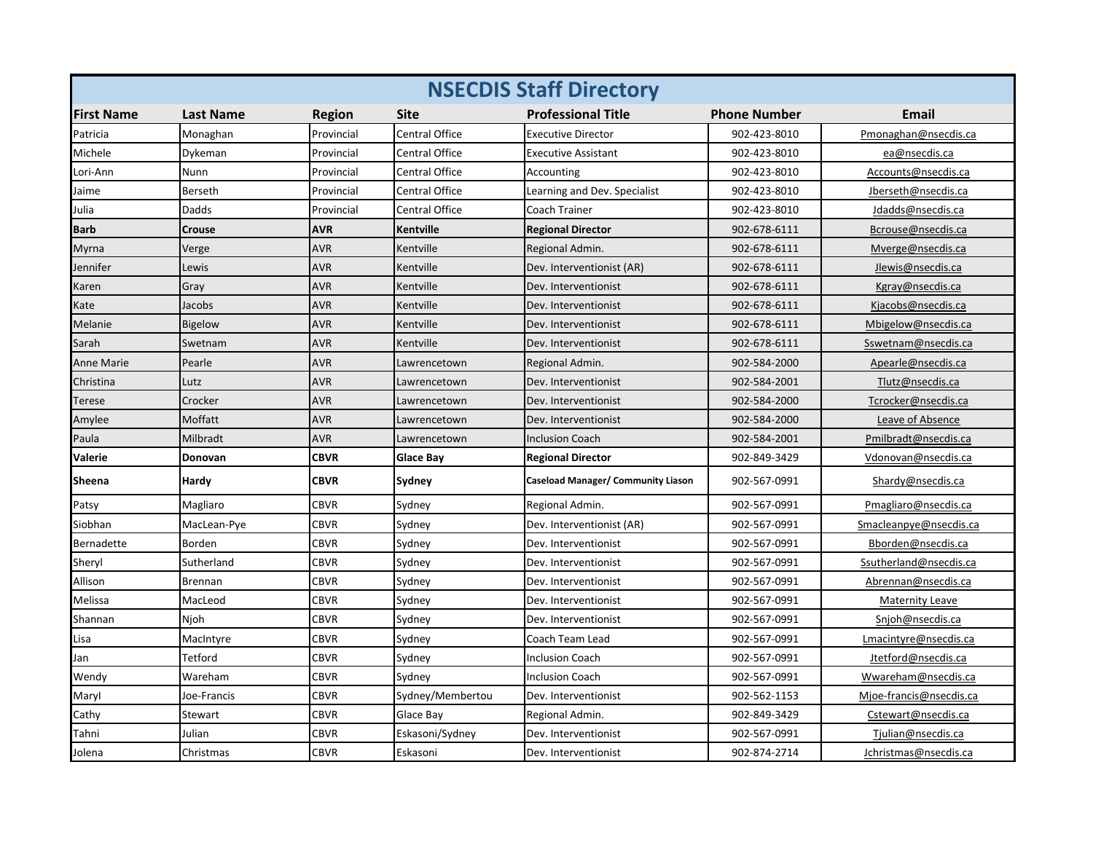| <b>NSECDIS Staff Directory</b> |                  |               |                       |                                    |                     |                         |  |
|--------------------------------|------------------|---------------|-----------------------|------------------------------------|---------------------|-------------------------|--|
| <b>First Name</b>              | <b>Last Name</b> | <b>Region</b> | <b>Site</b>           | <b>Professional Title</b>          | <b>Phone Number</b> | <b>Email</b>            |  |
| Patricia                       | Monaghan         | Provincial    | <b>Central Office</b> | <b>Executive Director</b>          | 902-423-8010        | Pmonaghan@nsecdis.ca    |  |
| Michele                        | Dykeman          | Provincial    | Central Office        | Executive Assistant                | 902-423-8010        | ea@nsecdis.ca           |  |
| Lori-Ann                       | Nunn             | Provincial    | <b>Central Office</b> | Accounting                         | 902-423-8010        | Accounts@nsecdis.ca     |  |
| Jaime                          | Berseth          | Provincial    | Central Office        | Learning and Dev. Specialist       | 902-423-8010        | Jberseth@nsecdis.ca     |  |
| Julia                          | Dadds            | Provincial    | Central Office        | Coach Trainer                      | 902-423-8010        | Jdadds@nsecdis.ca       |  |
| Barb                           | <b>Crouse</b>    | <b>AVR</b>    | Kentville             | <b>Regional Director</b>           | 902-678-6111        | Bcrouse@nsecdis.ca      |  |
| Myrna                          | Verge            | <b>AVR</b>    | Kentville             | Regional Admin.                    | 902-678-6111        | Mverge@nsecdis.ca       |  |
| Jennifer                       | Lewis            | <b>AVR</b>    | Kentville             | Dev. Interventionist (AR)          | 902-678-6111        | Jlewis@nsecdis.ca       |  |
| Karen                          | Gray             | <b>AVR</b>    | Kentville             | Dev. Interventionist               | 902-678-6111        | Kgray@nsecdis.ca        |  |
| Kate                           | Jacobs           | <b>AVR</b>    | Kentville             | Dev. Interventionist               | 902-678-6111        | Kjacobs@nsecdis.ca      |  |
| Melanie                        | <b>Bigelow</b>   | <b>AVR</b>    | Kentville             | Dev. Interventionist               | 902-678-6111        | Mbigelow@nsecdis.ca     |  |
| Sarah                          | Swetnam          | <b>AVR</b>    | Kentville             | Dev. Interventionist               | 902-678-6111        | Sswetnam@nsecdis.ca     |  |
| <b>Anne Marie</b>              | Pearle           | <b>AVR</b>    | Lawrencetown          | Regional Admin.                    | 902-584-2000        | Apearle@nsecdis.ca      |  |
| Christina                      | Lutz             | <b>AVR</b>    | Lawrencetown          | Dev. Interventionist               | 902-584-2001        | Tlutz@nsecdis.ca        |  |
| Terese                         | Crocker          | <b>AVR</b>    | Lawrencetown          | Dev. Interventionist               | 902-584-2000        | Tcrocker@nsecdis.ca     |  |
| Amylee                         | Moffatt          | <b>AVR</b>    | Lawrencetown          | Dev. Interventionist               | 902-584-2000        | Leave of Absence        |  |
| Paula                          | Milbradt         | <b>AVR</b>    | Lawrencetown          | <b>Inclusion Coach</b>             | 902-584-2001        | Pmilbradt@nsecdis.ca    |  |
| Valerie                        | Donovan          | <b>CBVR</b>   | Glace Bay             | <b>Regional Director</b>           | 902-849-3429        | Vdonovan@nsecdis.ca     |  |
| Sheena                         | Hardy            | <b>CBVR</b>   | Sydney                | Caseload Manager/ Community Liason | 902-567-0991        | Shardy@nsecdis.ca       |  |
| Patsy                          | Magliaro         | <b>CBVR</b>   | Sydney                | Regional Admin.                    | 902-567-0991        | Pmagliaro@nsecdis.ca    |  |
| Siobhan                        | MacLean-Pye      | CBVR          | Sydney                | Dev. Interventionist (AR)          | 902-567-0991        | Smacleanpye@nsecdis.ca  |  |
| Bernadette                     | Borden           | <b>CBVR</b>   | Sydney                | Dev. Interventionist               | 902-567-0991        | Bborden@nsecdis.ca      |  |
| Sheryl                         | Sutherland       | <b>CBVR</b>   | Sydney                | Dev. Interventionist               | 902-567-0991        | Ssutherland@nsecdis.ca  |  |
| Allison                        | <b>Brennan</b>   | <b>CBVR</b>   | Sydney                | Dev. Interventionist               | 902-567-0991        | Abrennan@nsecdis.ca     |  |
| Melissa                        | MacLeod          | <b>CBVR</b>   | Sydney                | Dev. Interventionist               | 902-567-0991        | <b>Maternity Leave</b>  |  |
| Shannan                        | Njoh             | <b>CBVR</b>   | Sydney                | Dev. Interventionist               | 902-567-0991        | Snjoh@nsecdis.ca        |  |
| Lisa                           | MacIntyre        | <b>CBVR</b>   | Sydney                | Coach Team Lead                    | 902-567-0991        | Lmacintyre@nsecdis.ca   |  |
| Jan                            | Tetford          | <b>CBVR</b>   | Sydney                | <b>Inclusion Coach</b>             | 902-567-0991        | Jtetford@nsecdis.ca     |  |
| Wendy                          | Wareham          | <b>CBVR</b>   | Sydney                | <b>Inclusion Coach</b>             | 902-567-0991        | Wwareham@nsecdis.ca     |  |
| Maryl                          | Joe-Francis      | <b>CBVR</b>   | Sydney/Membertou      | Dev. Interventionist               | 902-562-1153        | Mjoe-francis@nsecdis.ca |  |
| Cathy                          | Stewart          | <b>CBVR</b>   | Glace Bay             | Regional Admin.                    | 902-849-3429        | Cstewart@nsecdis.ca     |  |
| Tahni                          | Julian           | <b>CBVR</b>   | Eskasoni/Sydney       | Dev. Interventionist               | 902-567-0991        | Tjulian@nsecdis.ca      |  |
| Jolena                         | Christmas        | <b>CBVR</b>   | Eskasoni              | Dev. Interventionist               | 902-874-2714        | Jchristmas@nsecdis.ca   |  |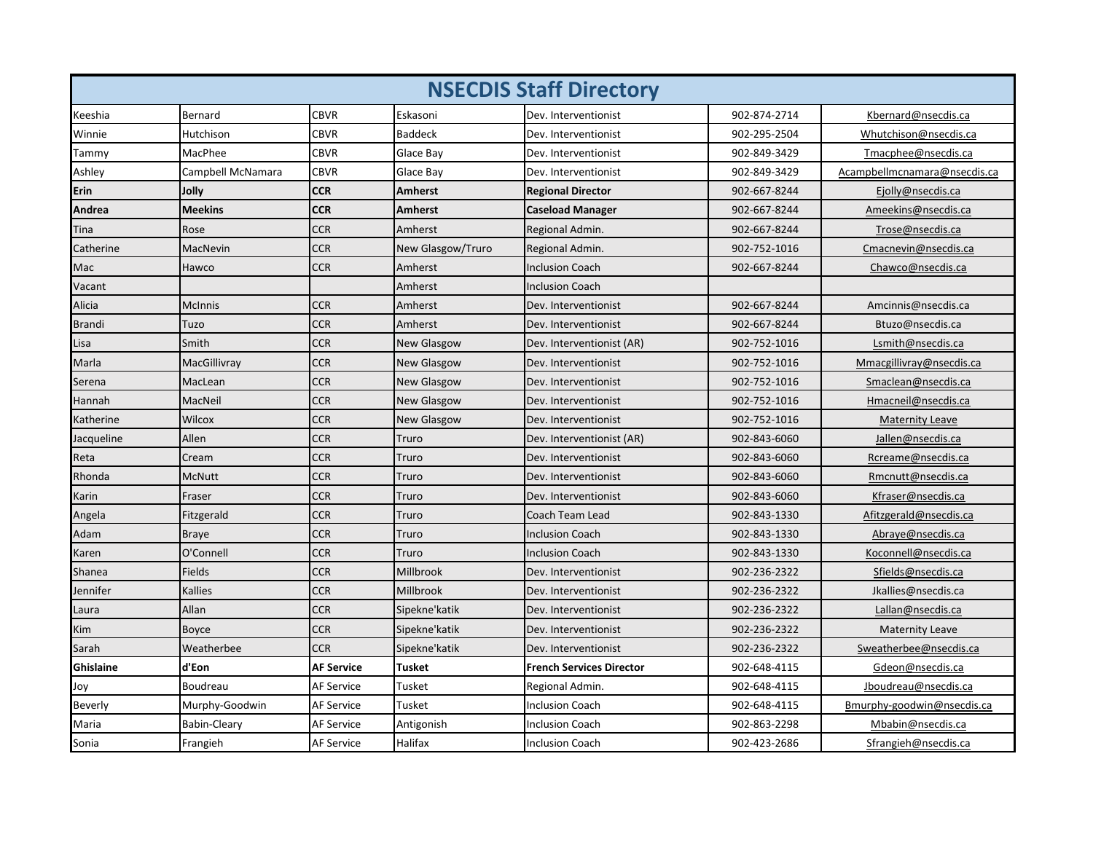| <b>NSECDIS Staff Directory</b> |                   |                   |                    |                                 |              |                              |
|--------------------------------|-------------------|-------------------|--------------------|---------------------------------|--------------|------------------------------|
| Keeshia                        | Bernard           | <b>CBVR</b>       | Eskasoni           | Dev. Interventionist            | 902-874-2714 | Kbernard@nsecdis.ca          |
| Winnie                         | Hutchison         | <b>CBVR</b>       | <b>Baddeck</b>     | Dev. Interventionist            | 902-295-2504 | Whutchison@nsecdis.ca        |
| Tammy                          | MacPhee           | <b>CBVR</b>       | Glace Bay          | Dev. Interventionist            | 902-849-3429 | Tmacphee@nsecdis.ca          |
| Ashley                         | Campbell McNamara | CBVR              | Glace Bay          | Dev. Interventionist            | 902-849-3429 | Acampbellmcnamara@nsecdis.ca |
| Erin                           | Jolly             | <b>CCR</b>        | <b>Amherst</b>     | <b>Regional Director</b>        | 902-667-8244 | Ejolly@nsecdis.ca            |
| Andrea                         | <b>Meekins</b>    | <b>CCR</b>        | <b>Amherst</b>     | <b>Caseload Manager</b>         | 902-667-8244 | Ameekins@nsecdis.ca          |
| Tina                           | Rose              | <b>CCR</b>        | Amherst            | Regional Admin.                 | 902-667-8244 | Trose@nsecdis.ca             |
| Catherine                      | MacNevin          | <b>CCR</b>        | New Glasgow/Truro  | Regional Admin.                 | 902-752-1016 | Cmacnevin@nsecdis.ca         |
| Mac                            | Hawco             | <b>CCR</b>        | Amherst            | <b>Inclusion Coach</b>          | 902-667-8244 | Chawco@nsecdis.ca            |
| Vacant                         |                   |                   | Amherst            | <b>Inclusion Coach</b>          |              |                              |
| Alicia                         | <b>McInnis</b>    | <b>CCR</b>        | Amherst            | Dev. Interventionist            | 902-667-8244 | Amcinnis@nsecdis.ca          |
| <b>Brandi</b>                  | Tuzo              | <b>CCR</b>        | Amherst            | Dev. Interventionist            | 902-667-8244 | Btuzo@nsecdis.ca             |
| Lisa                           | Smith             | <b>CCR</b>        | <b>New Glasgow</b> | Dev. Interventionist (AR)       | 902-752-1016 | Lsmith@nsecdis.ca            |
| Marla                          | MacGillivray      | CCR               | <b>New Glasgow</b> | Dev. Interventionist            | 902-752-1016 | Mmacgillivray@nsecdis.ca     |
| Serena                         | MacLean           | <b>CCR</b>        | <b>New Glasgow</b> | Dev. Interventionist            | 902-752-1016 | Smaclean@nsecdis.ca          |
| Hannah                         | MacNeil           | <b>CCR</b>        | <b>New Glasgow</b> | Dev. Interventionist            | 902-752-1016 | Hmacneil@nsecdis.ca          |
| Katherine                      | Wilcox            | <b>CCR</b>        | <b>New Glasgow</b> | Dev. Interventionist            | 902-752-1016 | <b>Maternity Leave</b>       |
| Jacqueline                     | Allen             | <b>CCR</b>        | Truro              | Dev. Interventionist (AR)       | 902-843-6060 | Jallen@nsecdis.ca            |
| Reta                           | Cream             | <b>CCR</b>        | Truro              | Dev. Interventionist            | 902-843-6060 | Rcreame@nsecdis.ca           |
| Rhonda                         | <b>McNutt</b>     | <b>CCR</b>        | Truro              | Dev. Interventionist            | 902-843-6060 | Rmcnutt@nsecdis.ca           |
| Karin                          | Fraser            | <b>CCR</b>        | Truro              | Dev. Interventionist            | 902-843-6060 | Kfraser@nsecdis.ca           |
| Angela                         | Fitzgerald        | <b>CCR</b>        | Truro              | Coach Team Lead                 | 902-843-1330 | Afitzgerald@nsecdis.ca       |
| Adam                           | <b>Braye</b>      | <b>CCR</b>        | Truro              | <b>Inclusion Coach</b>          | 902-843-1330 | Abraye@nsecdis.ca            |
| Karen                          | O'Connell         | <b>CCR</b>        | Truro              | <b>Inclusion Coach</b>          | 902-843-1330 | Koconnell@nsecdis.ca         |
| Shanea                         | Fields            | CCR               | Millbrook          | Dev. Interventionist            | 902-236-2322 | Sfields@nsecdis.ca           |
| Jennifer                       | Kallies           | <b>CCR</b>        | Millbrook          | Dev. Interventionist            | 902-236-2322 | Jkallies@nsecdis.ca          |
| Laura                          | Allan             | <b>CCR</b>        | Sipekne'katik      | Dev. Interventionist            | 902-236-2322 | Lallan@nsecdis.ca            |
| Kim                            | <b>Boyce</b>      | <b>CCR</b>        | Sipekne'katik      | Dev. Interventionist            | 902-236-2322 | <b>Maternity Leave</b>       |
| Sarah                          | Weatherbee        | <b>CCR</b>        | Sipekne'katik      | Dev. Interventionist            | 902-236-2322 | Sweatherbee@nsecdis.ca       |
| Ghislaine                      | d'Eon             | <b>AF Service</b> | <b>Tusket</b>      | <b>French Services Director</b> | 902-648-4115 | Gdeon@nsecdis.ca             |
| Joy                            | Boudreau          | <b>AF Service</b> | Tusket             | Regional Admin.                 | 902-648-4115 | Jboudreau@nsecdis.ca         |
| Beverly                        | Murphy-Goodwin    | <b>AF Service</b> | Tusket             | <b>Inclusion Coach</b>          | 902-648-4115 | Bmurphy-goodwin@nsecdis.ca   |
| Maria                          | Babin-Cleary      | AF Service        | Antigonish         | <b>Inclusion Coach</b>          | 902-863-2298 | Mbabin@nsecdis.ca            |
| Sonia                          | Frangieh          | <b>AF Service</b> | Halifax            | <b>Inclusion Coach</b>          | 902-423-2686 | Sfrangieh@nsecdis.ca         |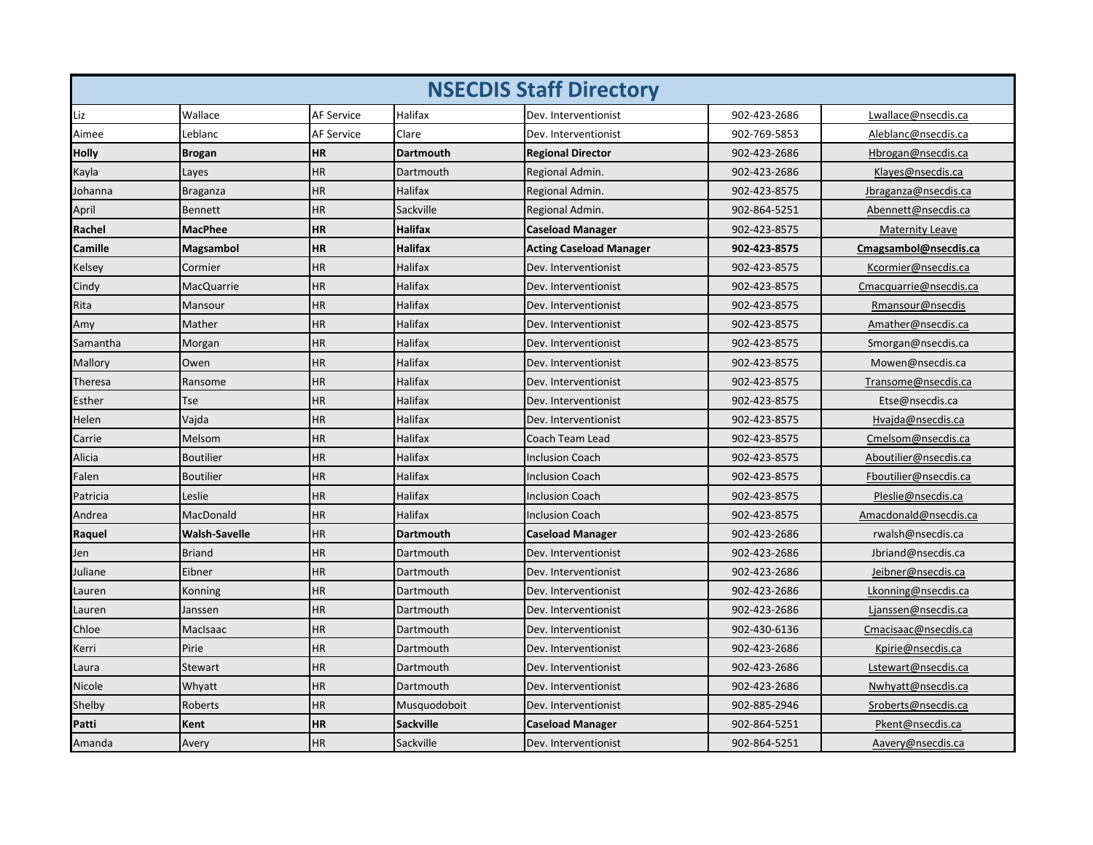| <b>NSECDIS Staff Directory</b> |                      |                   |                  |                                |              |                        |  |
|--------------------------------|----------------------|-------------------|------------------|--------------------------------|--------------|------------------------|--|
| Liz                            | Wallace              | <b>AF Service</b> | Halifax          | Dev. Interventionist           | 902-423-2686 | Lwallace@nsecdis.ca    |  |
| Aimee                          | Leblanc              | <b>AF Service</b> | Clare            | Dev. Interventionist           | 902-769-5853 | Aleblanc@nsecdis.ca    |  |
| Holly                          | <b>Brogan</b>        | <b>HR</b>         | <b>Dartmouth</b> | <b>Regional Director</b>       | 902-423-2686 | Hbrogan@nsecdis.ca     |  |
| Kayla                          | Layes                | <b>HR</b>         | Dartmouth        | Regional Admin.                | 902-423-2686 | Klayes@nsecdis.ca      |  |
| Iohanna                        | Braganza             | HR.               | <b>Halifax</b>   | Regional Admin.                | 902-423-8575 | Jbraganza@nsecdis.ca   |  |
| April                          | <b>Bennett</b>       | HR                | Sackville        | Regional Admin.                | 902-864-5251 | Abennett@nsecdis.ca    |  |
| <b>Rachel</b>                  | <b>MacPhee</b>       | <b>HR</b>         | <b>Halifax</b>   | <b>Caseload Manager</b>        | 902-423-8575 | <b>Maternity Leave</b> |  |
| Camille                        | Magsambol            | <b>HR</b>         | <b>Halifax</b>   | <b>Acting Caseload Manager</b> | 902-423-8575 | Cmagsambol@nsecdis.ca  |  |
| Kelsey                         | Cormier              | <b>HR</b>         | <b>Halifax</b>   | Dev. Interventionist           | 902-423-8575 | Kcormier@nsecdis.ca    |  |
| Cindy                          | <b>MacQuarrie</b>    | HR                | Halifax          | Dev. Interventionist           | 902-423-8575 | Cmacquarrie@nsecdis.ca |  |
| Rita                           | Mansour              | HR                | Halifax          | Dev. Interventionist           | 902-423-8575 | Rmansour@nsecdis       |  |
| Amy                            | Mather               | ΗR                | Halifax          | Dev. Interventionist           | 902-423-8575 | Amather@nsecdis.ca     |  |
| Samantha                       | Morgan               | ΗR                | Halifax          | Dev. Interventionist           | 902-423-8575 | Smorgan@nsecdis.ca     |  |
| Mallory                        | Owen                 | ΗR                | <b>Halifax</b>   | Dev. Interventionist           | 902-423-8575 | Mowen@nsecdis.ca       |  |
| Theresa                        | Ransome              | HR                | Halifax          | Dev. Interventionist           | 902-423-8575 | Transome@nsecdis.ca    |  |
| Esther                         | Tse                  | HR                | Halifax          | Dev. Interventionist           | 902-423-8575 | Etse@nsecdis.ca        |  |
| Helen                          | Vajda                | <b>HR</b>         | Halifax          | Dev. Interventionist           | 902-423-8575 | Hvajda@nsecdis.ca      |  |
| Carrie                         | Melsom               | HR                | <b>Halifax</b>   | Coach Team Lead                | 902-423-8575 | Cmelsom@nsecdis.ca     |  |
| Alicia                         | <b>Boutilier</b>     | HR                | Halifax          | <b>Inclusion Coach</b>         | 902-423-8575 | Aboutilier@nsecdis.ca  |  |
| Falen                          | <b>Boutilier</b>     | HR                | <b>Halifax</b>   | <b>Inclusion Coach</b>         | 902-423-8575 | Fboutilier@nsecdis.ca  |  |
| Patricia                       | Leslie               | HR                | Halifax          | <b>Inclusion Coach</b>         | 902-423-8575 | Pleslie@nsecdis.ca     |  |
| Andrea                         | MacDonald            | <b>HR</b>         | Halifax          | <b>Inclusion Coach</b>         | 902-423-8575 | Amacdonald@nsecdis.ca  |  |
| Raquel                         | <b>Walsh-Savelle</b> | HR                | <b>Dartmouth</b> | <b>Caseload Manager</b>        | 902-423-2686 | rwalsh@nsecdis.ca      |  |
| Jen                            | <b>Briand</b>        | ΗR                | Dartmouth        | Dev. Interventionist           | 902-423-2686 | Jbriand@nsecdis.ca     |  |
| Juliane                        | Eibner               | ΗR                | Dartmouth        | Dev. Interventionist           | 902-423-2686 | Jeibner@nsecdis.ca     |  |
| Lauren                         | Konning              | <b>HR</b>         | Dartmouth        | Dev. Interventionist           | 902-423-2686 | Lkonning@nsecdis.ca    |  |
| Lauren                         | Janssen              | HR                | Dartmouth        | Dev. Interventionist           | 902-423-2686 | Ljanssen@nsecdis.ca    |  |
| Chloe                          | MacIsaac             | <b>HR</b>         | Dartmouth        | Dev. Interventionist           | 902-430-6136 | Cmacisaac@nsecdis.ca   |  |
| Kerri                          | Pirie                | HR                | Dartmouth        | Dev. Interventionist           | 902-423-2686 | Kpirie@nsecdis.ca      |  |
| Laura                          | Stewart              | ΗR                | Dartmouth        | Dev. Interventionist           | 902-423-2686 | Lstewart@nsecdis.ca    |  |
| Nicole                         | Whyatt               | <b>HR</b>         | Dartmouth        | Dev. Interventionist           | 902-423-2686 | Nwhyatt@nsecdis.ca     |  |
| Shelby                         | Roberts              | HR                | Musquodoboit     | Dev. Interventionist           | 902-885-2946 | Sroberts@nsecdis.ca    |  |
| Patti                          | Kent                 | ΗR                | <b>Sackville</b> | <b>Caseload Manager</b>        | 902-864-5251 | Pkent@nsecdis.ca       |  |
| Amanda                         | Avery                | <b>HR</b>         | Sackville        | Dev. Interventionist           | 902-864-5251 | Aavery@nsecdis.ca      |  |